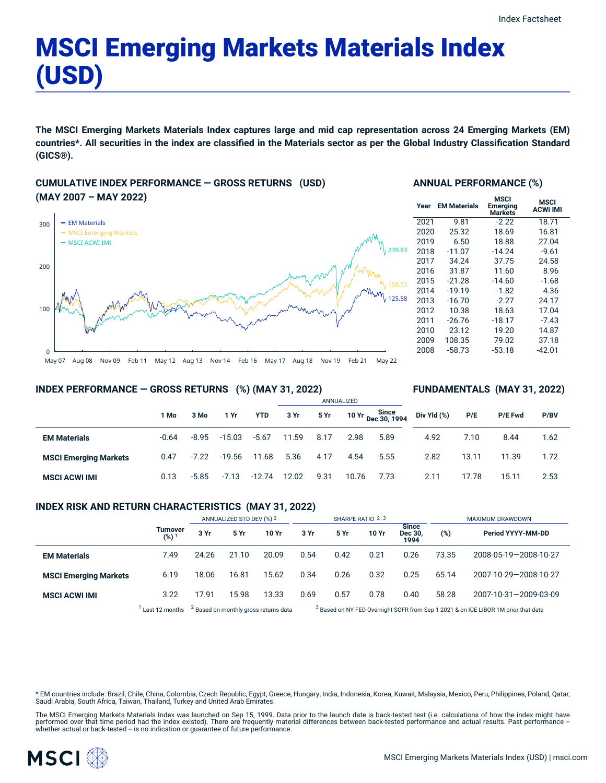# MSCI Emerging Markets Materials Index (USD)

The MSCI Emerging Markets Materials Index captures large and mid cap representation across 24 Emerging Markets (EM) countries\*. All securities in the index are classified in the Materials sector as per the Global Industry Classification Standard **(GICS®).**

# **CUMULATIVE INDEX PERFORMANCE — GROSS RETURNS (USD) (MAY 2007 – MAY 2022)**



#### **ANNUAL PERFORMANCE (%)**

| Year | <b>EM Materials</b> | MSCI<br>Emerging<br>Markets | <b>MSCI</b><br><b>ACWI IMI</b> |
|------|---------------------|-----------------------------|--------------------------------|
| 2021 | 9.81                | $-2.22$                     | 18.71                          |
| 2020 | 25.32               | 18.69                       | 16.81                          |
| 2019 | 6.50                | 18.88                       | 27.04                          |
| 2018 | $-11.07$            | $-14.24$                    | $-9.61$                        |
| 2017 | 34.24               | 37.75                       | 24.58                          |
| 2016 | 31.87               | 11.60                       | 8.96                           |
| 2015 | $-21.28$            | $-14.60$                    | $-1.68$                        |
| 2014 | $-19.19$            | $-1.82$                     | 4.36                           |
| 2013 | $-16.70$            | $-2.27$                     | 24.17                          |
| 2012 | 10.38               | 18.63                       | 17.04                          |
| 2011 | $-26.76$            | $-18.17$                    | $-7.43$                        |
| 2010 | 23.12               | 19.20                       | 14.87                          |
| 2009 | 108.35              | 79.02                       | 37.18                          |
| 2008 | $-58.73$            | $-53.18$                    | $-42.01$                       |
|      |                     |                             |                                |

**FUNDAMENTALS (MAY 31, 2022)**

#### **INDEX PERFORMANCE — GROSS RETURNS (%) (MAY 31, 2022)**

#### ANNUALIZED **1 Mo 3 Mo 1 Yr YTD 3 Yr 5 Yr 10 Yr Since Dec 30, 1994 EM Materials** -0.64 -8.95 -15.03 -5.67 11.59 8.17 2.98 5.89 **MSCI Emerging Markets** 0.47 -7.22 -19.56 -11.68 5.36 4.17 4.54 5.55 **MSCI ACWI IMI** 0.13 -5.85 -7.13 -12.74 12.02 9.31 10.76 7.73 **Div Yld (%) P/E P/E Fwd P/BV** 4.92 7.10 8.44 1.62 2.82 13.11 11.39 1.72 2.11 17.78 15.11 2.53

#### **INDEX RISK AND RETURN CHARACTERISTICS (MAY 31, 2022)**

|                              |                     | ANNUALIZED STD DEV (%) 2                         |       | SHARPE RATIO 2,3 |      |                                                                                               |       | MAXIMUM DRAWDOWN                |       |                       |
|------------------------------|---------------------|--------------------------------------------------|-------|------------------|------|-----------------------------------------------------------------------------------------------|-------|---------------------------------|-------|-----------------------|
|                              | Turnover<br>$(%)^1$ | 3 Yr                                             | 5 Yr  | 10 Yr            | 3 Yr | 5 Yr                                                                                          | 10 Yr | <b>Since</b><br>Dec 30,<br>1994 | (%)   | Period YYYY-MM-DD     |
| <b>EM Materials</b>          | 7.49                | 24.26                                            | 21.10 | 20.09            | 0.54 | 0.42                                                                                          | 0.21  | 0.26                            | 73.35 | 2008-05-19-2008-10-27 |
| <b>MSCI Emerging Markets</b> | 6.19                | 18.06                                            | 16.81 | 15.62            | 0.34 | 0.26                                                                                          | 0.32  | 0.25                            | 65.14 | 2007-10-29-2008-10-27 |
| <b>MSCI ACWI IMI</b>         | 3.22                | 17.91                                            | 15.98 | 13.33            | 0.69 | 0.57                                                                                          | 0.78  | 0.40                            | 58.28 | 2007-10-31-2009-03-09 |
|                              | Last 12 months      | <sup>2</sup> Based on monthly gross returns data |       |                  |      | <sup>3</sup> Based on NY FED Overnight SOFR from Sep 1 2021 & on ICE LIBOR 1M prior that date |       |                                 |       |                       |

\* EM countries include: Brazil, Chile, China, Colombia, Czech Republic, Egypt, Greece, Hungary, India, Indonesia, Korea, Kuwait, Malaysia, Mexico, Peru, Philippines, Poland, Qatar, Saudi Arabia, South Africa, Taiwan, Thailand, Turkey and United Arab Emirates.

The MSCI Emerging Markets Materials Index was launched on Sep 15, 1999. Data prior to the launch date is back-tested test (i.e. calculations of how the index might have performed over that time period had the index existed). There are frequently material differences between back-tested performance and actual results. Past performance –<br>whether actual or back-tested – is no indication or g

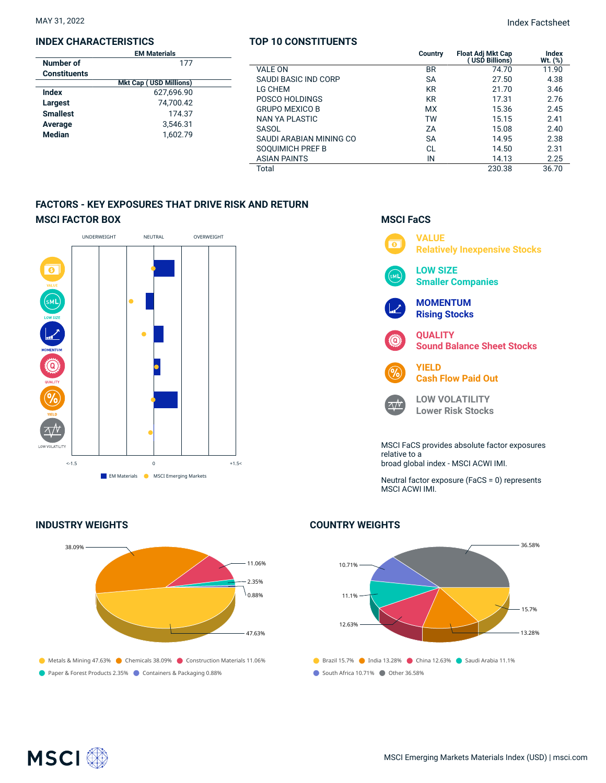# **INDEX CHARACTERISTICS**

|                     | <b>EM Materials</b>           |  |
|---------------------|-------------------------------|--|
| Number of           | 177                           |  |
| <b>Constituents</b> |                               |  |
|                     | <b>Mkt Cap (USD Millions)</b> |  |
| Index               | 627.696.90                    |  |
| Largest             | 74.700.42                     |  |
| <b>Smallest</b>     | 174.37                        |  |
| Average             | 3,546.31                      |  |
| <b>Median</b>       | 1,602.79                      |  |
|                     |                               |  |

#### **TOP 10 CONSTITUENTS**

MAY 31, 2022 Index Factsheet

| <b>EM Materials</b>                                                       |                         | <b>Country</b> | <b>Float Adj Mkt Cap</b> | Index   |
|---------------------------------------------------------------------------|-------------------------|----------------|--------------------------|---------|
| 177                                                                       |                         |                | (USD Billions)           | Wt. (%) |
| nts<br><b>Mkt Cap (USD Millions)</b><br>627,696.90<br>74,700.42<br>174.37 | <b>VALE ON</b>          | <b>BR</b>      | 74.70                    | 11.90   |
|                                                                           | SAUDI BASIC IND CORP    | <b>SA</b>      | 27.50                    | 4.38    |
|                                                                           | LG CHEM                 | <b>KR</b>      | 21.70                    | 3.46    |
|                                                                           | POSCO HOLDINGS          | <b>KR</b>      | 17.31                    | 2.76    |
|                                                                           | <b>GRUPO MEXICO B</b>   | <b>MX</b>      | 15.36                    | 2.45    |
|                                                                           | NAN YA PLASTIC          | TW             | 15.15                    | 2.41    |
| 3,546.31                                                                  | SASOL                   | ZΑ             | 15.08                    | 2.40    |
| 1.602.79                                                                  | SAUDI ARABIAN MINING CO | <b>SA</b>      | 14.95                    | 2.38    |
|                                                                           | SOOUIMICH PREF B        | <b>CL</b>      | 14.50                    | 2.31    |
|                                                                           | <b>ASIAN PAINTS</b>     | IN             | 14.13                    | 2.25    |
|                                                                           | Total                   |                | 230.38                   | 36.70   |
|                                                                           |                         |                |                          |         |

# **FACTORS - KEY EXPOSURES THAT DRIVE RISK AND RETURN MSCI FACTOR BOX**



# **MSCI FaCS VALUE**  $\overline{\bullet}$ **Relatively Inexpensive Stocks LOW SIZE** .<br>мі **Smaller Companies MOMENTUM Rising Stocks QUALITY** ිබ **Sound Balance Sheet Stocks YIELD Cash Flow Paid Out LOW VOLATILITY**  $\wedge /V$ **Lower Risk Stocks** MSCI FaCS provides absolute factor exposures relative to a broad global index - MSCI ACWI IMI. Neutral factor exposure (FaCS = 0) represents MSCI ACWI IMI.

## **INDUSTRY WEIGHTS**



# **COUNTRY WEIGHTS**